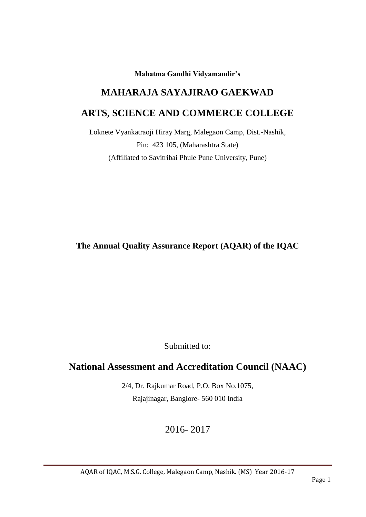**Mahatma Gandhi Vidyamandir's**

# **MAHARAJA SAYAJIRAO GAEKWAD**

## **ARTS, SCIENCE AND COMMERCE COLLEGE**

Loknete Vyankatraoji Hiray Marg, Malegaon Camp, Dist.-Nashik, Pin: 423 105, (Maharashtra State) (Affiliated to Savitribai Phule Pune University, Pune)

**The Annual Quality Assurance Report (AQAR) of the IQAC**

Submitted to:

## **National Assessment and Accreditation Council (NAAC)**

2/4, Dr. Rajkumar Road, P.O. Box No.1075, Rajajinagar, Banglore- 560 010 India

2016- 2017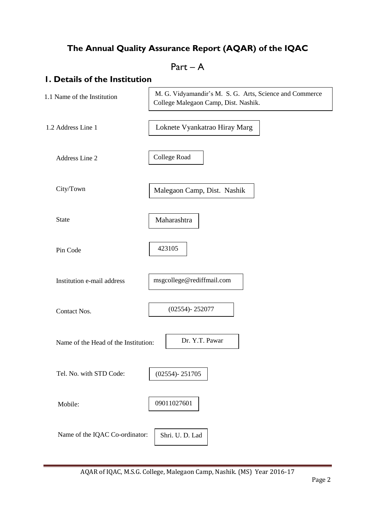## **The Annual Quality Assurance Report (AQAR) of the IQAC**

## Part – A

## **1. Details of the Institution**

| 1.1 Name of the Institution          | M. G. Vidyamandir's M. S. G. Arts, Science and Commerce<br>College Malegaon Camp, Dist. Nashik. |
|--------------------------------------|-------------------------------------------------------------------------------------------------|
| 1.2 Address Line 1                   | Loknete Vyankatrao Hiray Marg                                                                   |
| Address Line 2                       | College Road                                                                                    |
| City/Town                            | Malegaon Camp, Dist. Nashik                                                                     |
| <b>State</b>                         | Maharashtra                                                                                     |
| Pin Code                             | 423105                                                                                          |
| Institution e-mail address           | msgcollege@rediffmail.com                                                                       |
| Contact Nos.                         | $(02554) - 252077$                                                                              |
| Name of the Head of the Institution: | Dr. Y.T. Pawar                                                                                  |
| Tel. No. with STD Code:              | $(02554) - 251705$                                                                              |
| Mobile:                              | 09011027601                                                                                     |
| Name of the IQAC Co-ordinator:       | Shri. U. D. Lad                                                                                 |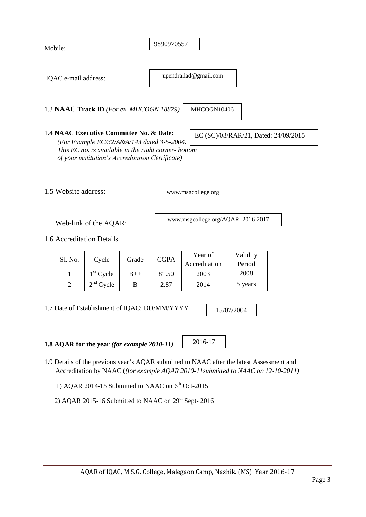| Mobile:              |                                                                                                                                                                                                    |       | 9890970557  |                                   |                                      |  |
|----------------------|----------------------------------------------------------------------------------------------------------------------------------------------------------------------------------------------------|-------|-------------|-----------------------------------|--------------------------------------|--|
| IQAC e-mail address: |                                                                                                                                                                                                    |       |             | upendra.lad@gmail.com             |                                      |  |
|                      | 1.3 NAAC Track ID (For ex. MHCOGN 18879)                                                                                                                                                           |       |             | MHCOGN10406                       |                                      |  |
|                      | 1.4 NAAC Executive Committee No. & Date:<br>(For Example EC/32/A&A/143 dated 3-5-2004.<br>This EC no. is available in the right corner- bottom<br>of your institution's Accreditation Certificate) |       |             |                                   | EC (SC)/03/RAR/21, Dated: 24/09/2015 |  |
| 1.5 Website address: |                                                                                                                                                                                                    |       |             | www.msgcollege.org                |                                      |  |
|                      | Web-link of the AQAR:                                                                                                                                                                              |       |             | www.msgcollege.org/AQAR_2016-2017 |                                      |  |
|                      | 1.6 Accreditation Details                                                                                                                                                                          |       |             |                                   |                                      |  |
| Sl. No.              | Cycle                                                                                                                                                                                              | Grade | <b>CGPA</b> | Year of<br>Accreditation          | Validity<br>Period                   |  |
| 1                    | $1st$ Cycle                                                                                                                                                                                        | $B++$ | 81.50       | 2003                              | 2008                                 |  |
| $\overline{2}$       | $2nd$ Cycle                                                                                                                                                                                        | B     | 2.87        | 2014                              | 5 years                              |  |

1.7 Date of Establishment of IQAC: DD/MM/YYYY

15/07/2004

**1.8 AQAR for the year** *(for example 2010-11)*

2016-17

- 1.9 Details of the previous year's AQAR submitted to NAAC after the latest Assessment and Accreditation by NAAC (*(for example AQAR 2010-11submitted to NAAC on 12-10-2011)*
- 1) AQAR 2014-15 Submitted to NAAC on  $6<sup>th</sup>$  Oct-2015
	- 2) AQAR 2015-16 Submitted to NAAC on  $29<sup>th</sup>$  Sept- 2016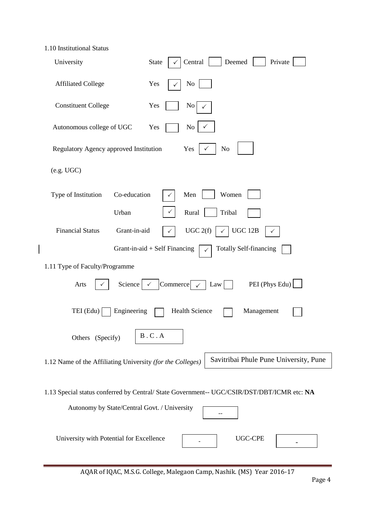| 1.10 Institutional Status |  |
|---------------------------|--|
|---------------------------|--|

| University                                                 | Central<br>Deemed<br><b>State</b><br>Private                                               |
|------------------------------------------------------------|--------------------------------------------------------------------------------------------|
| <b>Affiliated College</b>                                  | Yes<br>N <sub>o</sub>                                                                      |
| <b>Constituent College</b>                                 | Yes<br>$\overline{N_0}$                                                                    |
| Autonomous college of UGC                                  | Yes<br>No                                                                                  |
| Regulatory Agency approved Institution                     | Yes<br>N <sub>o</sub>                                                                      |
| (e.g. UGC)                                                 |                                                                                            |
| Co-education<br>Type of Institution                        | Men<br>Women                                                                               |
| Urban                                                      | Rural<br>Tribal                                                                            |
| <b>Financial Status</b><br>Grant-in-aid                    | UGC 2(f)<br>UGC 12B<br>$\checkmark$                                                        |
|                                                            | <b>Totally Self-financing</b><br>Grant-in-aid + Self Financing<br>$\checkmark$             |
| 1.11 Type of Faculty/Programme                             |                                                                                            |
| Science<br>Arts                                            | PEI (Phys Edu)<br>Commerce<br>Law                                                          |
| $TEI$ (Edu) $\vert$<br>Engineering                         | <b>Health Science</b><br>Management                                                        |
| Others (Specify)                                           | B.C.A                                                                                      |
| 1.12 Name of the Affiliating University (for the Colleges) | Savitribai Phule Pune University, Pune                                                     |
| Autonomy by State/Central Govt. / University               | 1.13 Special status conferred by Central/ State Government-- UGC/CSIR/DST/DBT/ICMR etc: NA |
| University with Potential for Excellence                   | <b>UGC-CPE</b>                                                                             |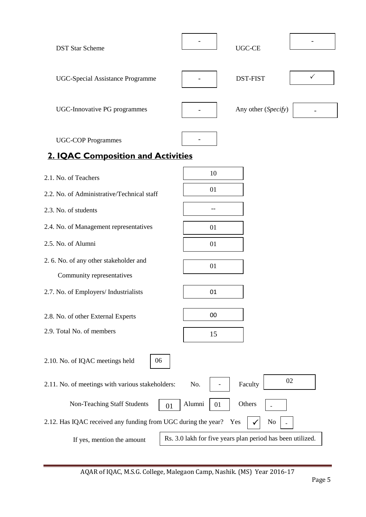| <b>DST Star Scheme</b>                                              |                    | <b>UGC-CE</b>                                              |              |
|---------------------------------------------------------------------|--------------------|------------------------------------------------------------|--------------|
| <b>UGC-Special Assistance Programme</b>                             |                    | <b>DST-FIST</b>                                            | $\checkmark$ |
| <b>UGC-Innovative PG programmes</b>                                 |                    | Any other (Specify)                                        |              |
| <b>UGC-COP Programmes</b><br>2. IQAC Composition and Activities     |                    |                                                            |              |
|                                                                     |                    |                                                            |              |
| 2.1. No. of Teachers                                                | 10                 |                                                            |              |
| 2.2. No. of Administrative/Technical staff                          | 01                 |                                                            |              |
| 2.3. No. of students                                                |                    |                                                            |              |
|                                                                     |                    |                                                            |              |
| 2.4. No. of Management representatives                              | 01                 |                                                            |              |
| 2.5. No. of Alumni                                                  | 01                 |                                                            |              |
| 2. 6. No. of any other stakeholder and<br>Community representatives | 01                 |                                                            |              |
| 2.7. No. of Employers/ Industrialists                               | 01                 |                                                            |              |
| 2.8. No. of other External Experts                                  | 00                 |                                                            |              |
| 2.9. Total No. of members                                           | 15                 |                                                            |              |
| 2.10. No. of IQAC meetings held<br>06                               |                    |                                                            |              |
| 2.11. No. of meetings with various stakeholders:                    | No.                | Faculty                                                    | 02           |
| Non-Teaching Staff Students                                         | Alumni<br>01<br>01 | Others                                                     |              |
| 2.12. Has IQAC received any funding from UGC during the year?       |                    | Yes<br>No                                                  |              |
| If yes, mention the amount                                          |                    | Rs. 3.0 lakh for five years plan period has been utilized. |              |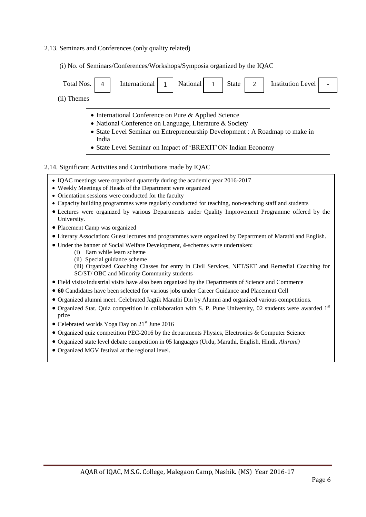#### 2.13. Seminars and Conferences (only quality related)

(i) No. of Seminars/Conferences/Workshops/Symposia organized by the IQAC

| Total Nos.  | <b>Institution Level</b><br>International<br>National $\begin{vmatrix} 1 \end{vmatrix}$<br>2<br>State                                                                                                                                                                    |  |  |  |  |  |  |  |
|-------------|--------------------------------------------------------------------------------------------------------------------------------------------------------------------------------------------------------------------------------------------------------------------------|--|--|--|--|--|--|--|
| (ii) Themes |                                                                                                                                                                                                                                                                          |  |  |  |  |  |  |  |
|             | • International Conference on Pure & Applied Science<br>• National Conference on Language, Literature & Society<br>• State Level Seminar on Entrepreneurship Development : A Roadmap to make in<br>India<br>• State Level Seminar on Impact of 'BREXIT'ON Indian Economy |  |  |  |  |  |  |  |
|             | 2.14. Significant Activities and Contributions made by IQAC                                                                                                                                                                                                              |  |  |  |  |  |  |  |

- IQAC meetings were organized quarterly during the academic year 2016-2017
- Weekly Meetings of Heads of the Department were organized
- Orientation sessions were conducted for the faculty
- Capacity building programmes were regularly conducted for teaching, non-teaching staff and students
- Lectures were organized by various Departments under Quality Improvement Programme offered by the University.
- Placement Camp was organized
- Literary Association: Guest lectures and programmes were organized by Department of Marathi and English.
- Under the banner of Social Welfare Development, **4**-schemes were undertaken:
	- (i) Earn while learn scheme
	- (ii) Special guidance scheme
	- (iii) Organized Coaching Classes for entry in Civil Services, NET/SET and Remedial Coaching for SC/ST/ OBC and Minority Community students
- Field visits/Industrial visits have also been organised by the Departments of Science and Commerce
- **60** Candidates have been selected for various jobs under Career Guidance and Placement Cell
- Organized alumni meet. Celebrated Jagtik Marathi Din by Alumni and organized various competitions.
- Organized Stat. Quiz competition in collaboration with S. P. Pune University, 02 students were awarded 1st prize
- Celebrated worlds Yoga Day on 21<sup>st</sup> June 2016
- Organized quiz competition PEC-2016 by the departments Physics, Electronics & Computer Science
- Organized state level debate competition in 05 languages (Urdu, Marathi, English, Hindi, *Ahirani)*
- Organized MGV festival at the regional level.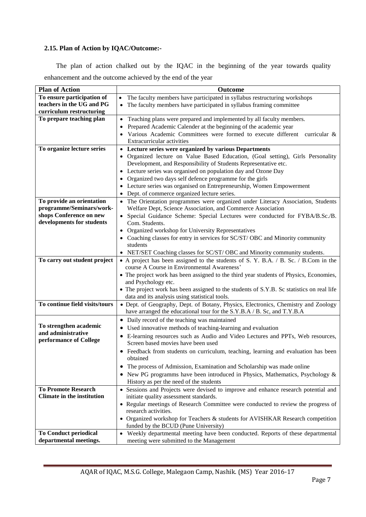#### **2.15. Plan of Action by IQAC/Outcome:-**

 The plan of action chalked out by the IQAC in the beginning of the year towards quality enhancement and the outcome achieved by the end of the year

| <b>Plan of Action</b>                                  | <b>Outcome</b>                                                                                                                          |
|--------------------------------------------------------|-----------------------------------------------------------------------------------------------------------------------------------------|
| To ensure participation of                             | The faculty members have participated in syllabus restructuring workshops<br>$\bullet$                                                  |
| teachers in the UG and PG                              | The faculty members have participated in syllabus framing committee<br>$\bullet$                                                        |
| curriculum restructuring                               |                                                                                                                                         |
| To prepare teaching plan                               | Teaching plans were prepared and implemented by all faculty members.<br>$\bullet$                                                       |
|                                                        | Prepared Academic Calender at the beginning of the academic year                                                                        |
|                                                        | Various Academic Committees were formed to execute different curricular &                                                               |
|                                                        | Extracurricular activities                                                                                                              |
| To organize lecture series                             | • Lecture series were organized by various Departments                                                                                  |
|                                                        | • Organized lecture on Value Based Education, (Goal setting), Girls Personality                                                         |
|                                                        | Development, and Responsibility of Students Representative etc.                                                                         |
|                                                        | • Lecture series was organised on population day and Ozone Day                                                                          |
|                                                        | Organized two days self defence programme for the girls<br>$\bullet$                                                                    |
|                                                        | • Lecture series was organised on Entrepreneurship, Women Empowerment                                                                   |
|                                                        | Dept. of commerce organized lecture series.<br>$\bullet$                                                                                |
| To provide an orientation                              | The Orientation programmes were organized under Literacy Association, Students<br>$\bullet$                                             |
| programme/Seminars/work-                               | Welfare Dept, Science Association, and Commerce Association                                                                             |
| shops Conference on new                                | Special Guidance Scheme: Special Lectures were conducted for FYBA/B.Sc./B.<br>$\bullet$                                                 |
| developments for students                              | Com. Students.                                                                                                                          |
|                                                        | • Organized workshop for University Representatives                                                                                     |
|                                                        | • Coaching classes for entry in services for SC/ST/OBC and Minority community                                                           |
|                                                        | students                                                                                                                                |
|                                                        | • NET/SET Coaching classes for SC/ST/ OBC and Minority community students.                                                              |
| To carry out student project                           | • A project has been assigned to the students of S. Y. B.A. / B. Sc. / B.Com in the                                                     |
|                                                        | course A Course in Environmental Awareness'                                                                                             |
|                                                        | • The project work has been assigned to the third year students of Physics, Economies,                                                  |
|                                                        | and Psychology etc.                                                                                                                     |
|                                                        | • The project work has been assigned to the students of S.Y.B. Sc statistics on real life                                               |
| To continue field visits/tours                         | data and its analysis using statistical tools.<br>· Dept. of Geography, Dept. of Botany, Physics, Electronics, Chemistry and Zoology    |
|                                                        | have arranged the educational tour for the S.Y.B.A / B. Sc, and T.Y.B.A                                                                 |
|                                                        |                                                                                                                                         |
| To strengthen academic                                 | • Daily record of the teaching was maintained                                                                                           |
| and administrative                                     | • Used innovative methods of teaching-learning and evaluation                                                                           |
| performance of College                                 | • E-learning resources such as Audio and Video Lectures and PPTs, Web resources,                                                        |
|                                                        | Screen based movies have been used                                                                                                      |
|                                                        | • Feedback from students on curriculum, teaching, learning and evaluation has been                                                      |
|                                                        | obtained                                                                                                                                |
|                                                        | The process of Admission, Examination and Scholarship was made online                                                                   |
|                                                        | • New PG programms have been introduced in Physics, Mathematics, Psychology $\&$                                                        |
|                                                        | History as per the need of the students                                                                                                 |
| <b>To Promote Research</b>                             | • Sessions and Projects were devised to improve and enhance research potential and                                                      |
| <b>Climate in the institution</b>                      | initiate quality assessment standards.                                                                                                  |
|                                                        | • Regular meetings of Research Committee were conducted to review the progress of                                                       |
|                                                        | research activities.                                                                                                                    |
|                                                        | • Organized workshop for Teachers & students for AVISHKAR Research competition                                                          |
|                                                        | funded by the BCUD (Pune University)                                                                                                    |
| <b>To Conduct periodical</b><br>departmental meetings. | Weekly departmental meeting have been conducted. Reports of these departmental<br>$\bullet$<br>meeting were submitted to the Management |
|                                                        |                                                                                                                                         |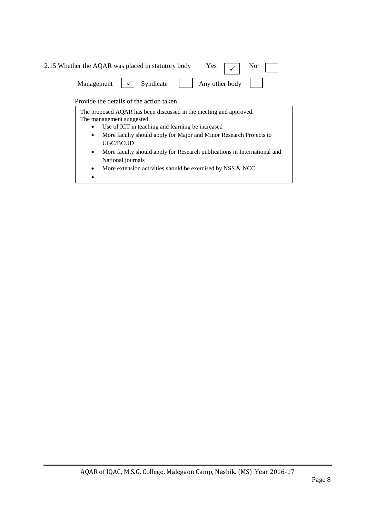| 2.15 Whether the AQAR was placed in statutory body Yes $\vert \sqrt{\vert}$ No |                                                                                          |  |
|--------------------------------------------------------------------------------|------------------------------------------------------------------------------------------|--|
|                                                                                | Management $\vert \checkmark \vert$ Syndicate $\vert \vert$ Any other body $\vert \vert$ |  |
|                                                                                | Provide the details of the action taken                                                  |  |

 $\bullet$ 

Part – B The proposed AQAR has been discussed in the meeting and approved. The management suggested Use of ICT in teaching and learning be increased More faculty should apply for Major and Minor Research Projects to UGC/BCUD More faculty should apply for Research publications in International and National journals More extension activities should be exercised by NSS & NCC  $\mathbf{r}$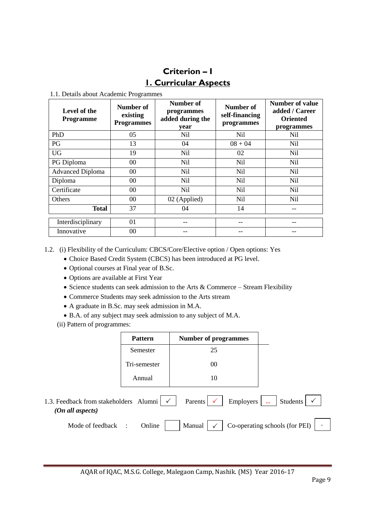## **Criterion – I 1. Curricular Aspects**

1.1. Details about Academic Programmes

| Level of the<br><b>Programme</b> | Number of<br>existing<br><b>Programmes</b> | Number of<br>Number of<br>programmes<br>self-financing<br>added during the<br>programmes<br>year |                 | Number of value<br>added / Career<br><b>Oriented</b><br>programmes |
|----------------------------------|--------------------------------------------|--------------------------------------------------------------------------------------------------|-----------------|--------------------------------------------------------------------|
| PhD                              | 05                                         | Nil                                                                                              | N <sub>il</sub> | Nil                                                                |
| PG                               | 13                                         | 04                                                                                               | $08 + 04$       | Nil.                                                               |
| <b>UG</b>                        | 19                                         | Nil                                                                                              | 02              | Nil                                                                |
| PG Diploma                       | $00\,$                                     | Nil                                                                                              | N <sub>il</sub> | Nil.                                                               |
| <b>Advanced Diploma</b>          | 00                                         | Nil                                                                                              | Nil             | <b>Nil</b>                                                         |
| Diploma                          | $00\,$                                     | Nil                                                                                              | Nil             | Nil.                                                               |
| Certificate                      | 00                                         | Nil                                                                                              | Nil             | Nil                                                                |
| <b>Others</b>                    | 00 <sup>1</sup>                            | 02 (Applied)                                                                                     | Nil             | Nil.                                                               |
| <b>Total</b>                     | 37                                         | 04                                                                                               | 14              |                                                                    |
| Interdisciplinary                | 01                                         |                                                                                                  |                 |                                                                    |
| Innovative                       | 00                                         |                                                                                                  |                 |                                                                    |

- 1.2. (i) Flexibility of the Curriculum: CBCS/Core/Elective option / Open options: Yes
	- Choice Based Credit System (CBCS) has been introduced at PG level.
	- Optional courses at Final year of B.Sc.
	- Options are available at First Year
	- Science students can seek admission to the Arts & Commerce Stream Flexibility
	- Commerce Students may seek admission to the Arts stream
	- A graduate in B.Sc. may seek admission in M.A.
	- B.A. of any subject may seek admission to any subject of M.A.
	- (ii) Pattern of programmes:

|                                                     | <b>Pattern</b>      | <b>Number of programmes</b> |                                |
|-----------------------------------------------------|---------------------|-----------------------------|--------------------------------|
|                                                     | Semester            | 25                          |                                |
|                                                     | Tri-semester        | 00                          |                                |
|                                                     | Annual              | 10                          |                                |
| 1.3. Feedback from stakeholders<br>(On all aspects) | Alumni $\checkmark$ | Employers<br>Parents        | Students                       |
| Mode of feedback                                    | Online<br>÷         | Manual                      | Co-operating schools (for PEI) |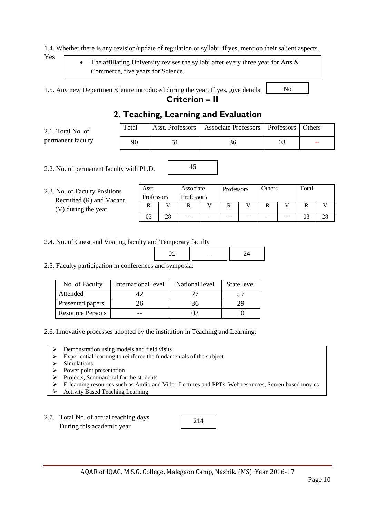1.4. Whether there is any revision/update of regulation or syllabi, if yes, mention their salient aspects.

Yes

 The affiliating University revises the syllabi after every three year for Arts & Commerce, five years for Science.

1.5. Any new Department/Centre introduced during the year. If yes, give details.

### **Criterion – II**

| 2. Teaching, Learning and Evaluation |       |  |                                                               |    |  |  |  |  |
|--------------------------------------|-------|--|---------------------------------------------------------------|----|--|--|--|--|
| 2.1. Total No. of                    | Total |  | Asst. Professors   Associate Professors   Professors   Others |    |  |  |  |  |
| permanent faculty                    | 90    |  | 36                                                            | 03 |  |  |  |  |

45

2.2. No. of permanent faculty with Ph.D.

2.3. No. of Faculty Positions Recruited (R) and Vacant (V) during the year

| Associate<br>Asst. |  |            | Others<br>Professors |    | Total |    |    |    |  |  |
|--------------------|--|------------|----------------------|----|-------|----|----|----|--|--|
| Professors         |  | Professors |                      |    |       |    |    |    |  |  |
|                    |  |            |                      |    |       |    |    |    |  |  |
| 03                 |  | --         | --                   | -- | --    | -- | -- | U3 |  |  |

No

2.4. No. of Guest and Visiting faculty and Temporary faculty

2.5. Faculty participation in conferences and symposia:

| No. of Faculty          | International level | National level | State level |
|-------------------------|---------------------|----------------|-------------|
| Attended                |                     |                |             |
| Presented papers        | 26                  | 36             |             |
| <b>Resource Persons</b> |                     |                |             |

2.6. Innovative processes adopted by the institution in Teaching and Learning:

- Demonstration using models and field visits
- Experiential learning to reinforce the fundamentals of the subject
- $\triangleright$  Simulations
- $\triangleright$  Power point presentation
- $\triangleright$  Projects, Seminar/oral for the students
- E-learning resources such as Audio and Video Lectures and PPTs, Web resources, Screen based movies
- Activity Based Teaching Learning
- 2.7. Total No. of actual teaching days During this academic year

214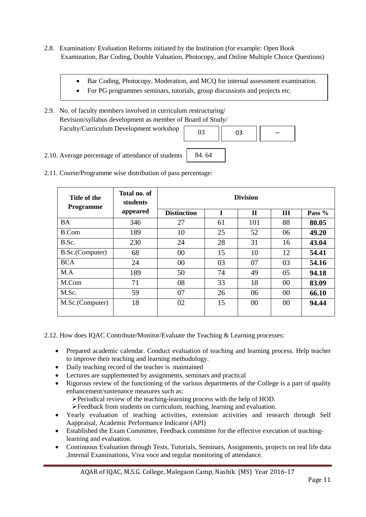- 2.8. Examination/ Evaluation Reforms initiated by the Institution (for example: Open Book Examination, Bar Coding, Double Valuation, Photocopy, and Online Multiple Choice Questions)
	- Bar Coding, Photocopy, Moderation, and MCQ for internal assessment examination.

84. 64

- For PG programmes seminars, tutorials, group discussions and projects etc.
- 2.9. No. of faculty members involved in curriculum restructuring/ Revision/syllabus development as member of Board of Study/ Faculty/Curriculum Development workshop



- 2.10. Average percentage of attendance of students
- 2.11. Course/Programme wise distribution of pass percentage:

| Title of the<br><b>Programme</b> | Total no. of<br>students | <b>Division</b>    |    |              |    |          |  |  |  |
|----------------------------------|--------------------------|--------------------|----|--------------|----|----------|--|--|--|
|                                  | appeared                 | <b>Distinction</b> | I  | $\mathbf{H}$ | Ш  | Pass $%$ |  |  |  |
| <b>BA</b>                        | 346                      | 27                 | 61 | 101          | 88 | 80.05    |  |  |  |
| <b>B.Com</b>                     | 189                      | 10                 | 25 | 52           | 06 | 49.20    |  |  |  |
| B.Sc.                            | 230                      | 24                 | 28 | 31           | 16 | 43.04    |  |  |  |
| B.Sc.(Computer)                  | 68                       | 00                 | 15 | 10           | 12 | 54.41    |  |  |  |
| <b>BCA</b>                       | 24                       | 00                 | 03 | 07           | 03 | 54.16    |  |  |  |
| M.A                              | 189                      | 50                 | 74 | 49           | 05 | 94.18    |  |  |  |
| M.Com                            | 71                       | 08                 | 33 | 18           | 00 | 83.09    |  |  |  |
| M.Sc.                            | 59                       | 07                 | 26 | 06           | 00 | 66.10    |  |  |  |
| M.Sc.(Computer)                  | 18                       | 02                 | 15 | 00           | 00 | 94.44    |  |  |  |

2.12. How does IQAC Contribute/Monitor/Evaluate the Teaching & Learning processes:

- Prepared academic calendar. Conduct evaluation of teaching and learning process. Help teacher to improve their teaching and learning methodology.
- Daily teaching record of the teacher is maintained
- Lectures are supplemented by assignments, seminars and practical
- Rigorous review of the functioning of the various departments of the College is a part of quality enhancement/sustenance measures such as:

Periodical review of the teaching-learning process with the help of HOD.

Feedback from students on curriculum, teaching, learning and evaluation.

- Yearly evaluation of teaching activities, extension activities and research through Self Aappraisal, Academic Performance Indicator (API)
- Established the Exam Committee, Feedback committee for the effective execution of teachinglearning and evaluation.
- Continuous Evaluation through Tests, Tutorials, Seminars, Assignments, projects on real life data ,Internal Examinations, Viva voce and regular monitoring of attendance.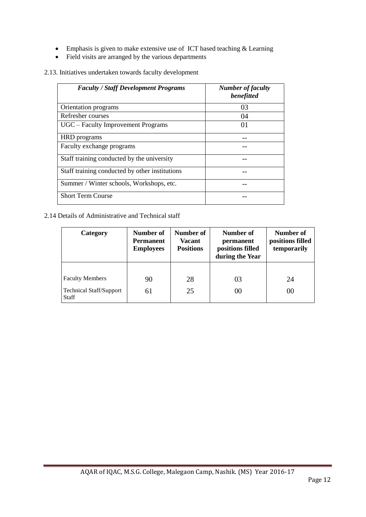- Emphasis is given to make extensive use of ICT based teaching & Learning
- Field visits are arranged by the various departments

2.13. Initiatives undertaken towards faculty development

| <b>Faculty / Staff Development Programs</b>    | <b>Number of faculty</b><br>benefitted |
|------------------------------------------------|----------------------------------------|
| Orientation programs                           | 03                                     |
| Refresher courses                              | 04                                     |
| UGC – Faculty Improvement Programs             | 01                                     |
| HRD programs                                   |                                        |
| Faculty exchange programs                      |                                        |
| Staff training conducted by the university     |                                        |
| Staff training conducted by other institutions |                                        |
| Summer / Winter schools, Workshops, etc.       |                                        |
| <b>Short Term Course</b>                       |                                        |

2.14 Details of Administrative and Technical staff

| Category                                                                 | Number of<br><b>Permanent</b><br><b>Employees</b> | Number of<br>Vacant<br><b>Positions</b> | Number of<br>permanent<br>positions filled<br>during the Year | Number of<br>positions filled<br>temporarily |  |
|--------------------------------------------------------------------------|---------------------------------------------------|-----------------------------------------|---------------------------------------------------------------|----------------------------------------------|--|
| <b>Faculty Members</b><br><b>Technical Staff/Support</b><br><b>Staff</b> | 90<br>61                                          | 28<br>25                                | 03<br>00                                                      | 24<br>00                                     |  |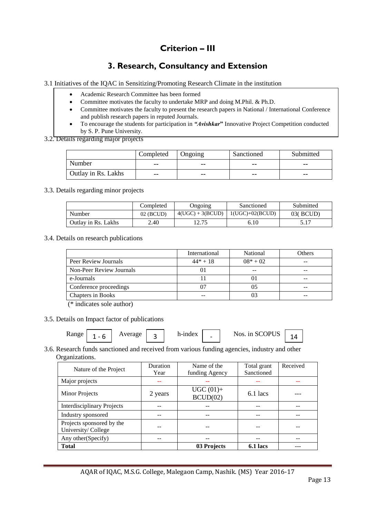## **Criterion – III**

## **3. Research, Consultancy and Extension**

3.1 Initiatives of the IQAC in Sensitizing/Promoting Research Climate in the institution

- Academic Research Committee has been formed
- Committee motivates the faculty to undertake MRP and doing M.Phil. & Ph.D.
- Committee motivates the faculty to present the research papers in National / International Conference and publish research papers in reputed Journals.
- To encourage the students for participation in *"Avishkar***"** Innovative Project Competition conducted by S. P. Pune University.

#### 3.2. Details regarding major projects

|                     | Completed<br>Ongoing |       | Sanctioned | Submitted |  |
|---------------------|----------------------|-------|------------|-----------|--|
| Number              | $- -$                | $- -$ | $- -$      | $- -$     |  |
| Outlay in Rs. Lakhs | $- -$                | $- -$ | $- -$      | $- -$     |  |

3.3. Details regarding minor projects

|                     | Completed   |                    | Sanctioned        | Submitted |
|---------------------|-------------|--------------------|-------------------|-----------|
| Number              | $02$ (BCUD) | $4(UGC) + 3(BCUD)$ | $1(UGC)+02(BCUD)$ | 03( BCUD) |
| Outlay in Rs. Lakhs | 2.40        | 12.75              | 6.10              |           |

3.4. Details on research publications

|                          | International | National   | Others |
|--------------------------|---------------|------------|--------|
| Peer Review Journals     | $44* + 18$    | $08* + 02$ |        |
| Non-Peer Review Journals | O I           |            |        |
| e-Journals               |               |            | --     |
| Conference proceedings   |               |            |        |
| Chapters in Books        |               |            | --     |

(\* indicates sole author)

3.5. Details on Impact factor of publications

| Range | - | verage | . . | h-index | - | Nos. in SCOPUS |  |
|-------|---|--------|-----|---------|---|----------------|--|
|-------|---|--------|-----|---------|---|----------------|--|

#### 3.6. Research funds sanctioned and received from various funding agencies, industry and other Organizations.

| Nature of the Project             | Duration | Name of the             | Total grant | Received |
|-----------------------------------|----------|-------------------------|-------------|----------|
|                                   | Year     | funding Agency          | Sanctioned  |          |
| Major projects                    |          |                         |             |          |
| Minor Projects                    | 2 years  | $UGC(01) +$<br>BCUD(02) | 6.1 lacs    |          |
| <b>Interdisciplinary Projects</b> |          |                         |             |          |
| Industry sponsored                |          |                         |             |          |
| Projects sponsored by the         |          |                         |             |          |
| University/College                |          |                         |             |          |
| Any other (Specify)               |          |                         |             |          |
| <b>Total</b>                      |          | 03 Projects             | 6.1 lacs    |          |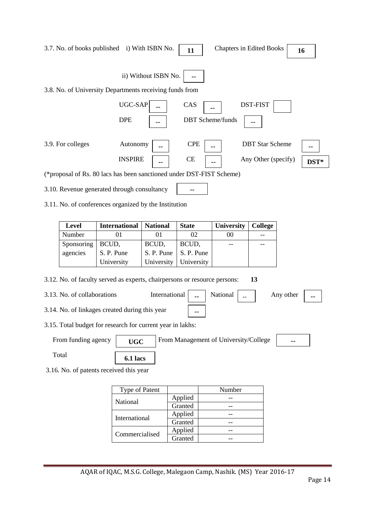|                             | 3.7. No. of books published i) With ISBN No.                              |                 | 11           |  | <b>Chapters in Edited Books</b>       |                        |           | 16   |
|-----------------------------|---------------------------------------------------------------------------|-----------------|--------------|--|---------------------------------------|------------------------|-----------|------|
| ii) Without ISBN No.        |                                                                           |                 |              |  |                                       |                        |           |      |
|                             | 3.8. No. of University Departments receiving funds from                   |                 |              |  |                                       |                        |           |      |
|                             | UGC-SAP                                                                   |                 | CAS          |  |                                       | <b>DST-FIST</b>        |           |      |
|                             | <b>DPE</b>                                                                |                 |              |  | <b>DBT</b> Scheme/funds               |                        |           |      |
|                             |                                                                           |                 |              |  |                                       |                        |           |      |
| 3.9. For colleges           | Autonomy                                                                  |                 | <b>CPE</b>   |  |                                       | <b>DBT</b> Star Scheme |           |      |
|                             | <b>INSPIRE</b>                                                            |                 | <b>CE</b>    |  |                                       | Any Other (specify)    |           |      |
|                             | (*proposal of Rs. 80 lacs has been sanctioned under DST-FIST Scheme)      |                 |              |  |                                       |                        |           | DST* |
|                             |                                                                           |                 |              |  |                                       |                        |           |      |
|                             | 3.10. Revenue generated through consultancy                               |                 |              |  |                                       |                        |           |      |
|                             | 3.11. No. of conferences organized by the Institution                     |                 |              |  |                                       |                        |           |      |
|                             |                                                                           |                 |              |  |                                       |                        |           |      |
| Level                       | <b>International</b>                                                      | <b>National</b> | <b>State</b> |  | University                            | <b>College</b>         |           |      |
| Number                      | 01                                                                        | 01              | 02           |  | $00\,$                                |                        |           |      |
| Sponsoring                  | BCUD,                                                                     | BCUD,           | BCUD,        |  |                                       |                        |           |      |
| agencies                    | S. P. Pune                                                                | S. P. Pune      | S. P. Pune   |  |                                       |                        |           |      |
|                             | University                                                                | University      | University   |  |                                       |                        |           |      |
|                             | 3.12. No. of faculty served as experts, chairpersons or resource persons: |                 |              |  |                                       | 13                     |           |      |
| 3.13. No. of collaborations |                                                                           | International   |              |  | National                              |                        | Any other | ۰.   |
|                             | 3.14. No. of linkages created during this year                            |                 |              |  |                                       |                        |           |      |
|                             | 3.15. Total budget for research for current year in lakhs:                |                 |              |  |                                       |                        |           |      |
| From funding agency         | <b>UGC</b>                                                                |                 |              |  | From Management of University/College |                        | --        |      |
| Total                       | 6.1 lacs                                                                  |                 |              |  |                                       |                        |           |      |
|                             | 3.16. No. of patents received this year                                   |                 |              |  |                                       |                        |           |      |
|                             |                                                                           |                 |              |  |                                       |                        |           |      |
|                             | Type of Patent                                                            |                 | Applied      |  | Number<br>--                          |                        |           |      |
|                             | National                                                                  |                 | Granted      |  | --                                    |                        |           |      |
|                             | International                                                             |                 | Applied      |  | --                                    |                        |           |      |
|                             |                                                                           |                 | Granted      |  | --                                    |                        |           |      |
|                             | Commercialised                                                            |                 | Applied      |  | --                                    |                        |           |      |
|                             |                                                                           |                 | Granted      |  | --                                    |                        |           |      |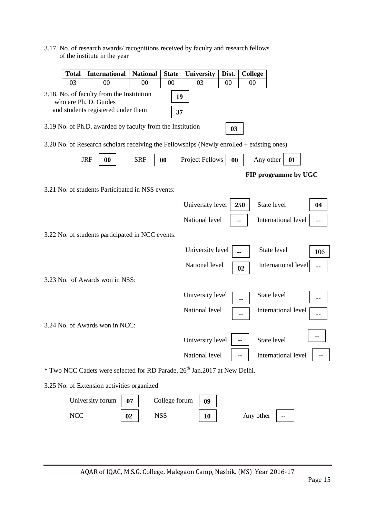3.17. No. of research awards/ recognitions received by faculty and research fellows of the institute in the year

| <b>Total</b>                                                                                                         | <b>International</b>                                                                     | <b>National</b> | <b>State</b>  | <b>University</b> | Dist.  | <b>College</b> |                      |     |
|----------------------------------------------------------------------------------------------------------------------|------------------------------------------------------------------------------------------|-----------------|---------------|-------------------|--------|----------------|----------------------|-----|
| 03                                                                                                                   | 00                                                                                       | 00              | 00            | 03                | $00\,$ | 00             |                      |     |
| 3.18. No. of faculty from the Institution<br>19<br>who are Ph. D. Guides<br>and students registered under them<br>37 |                                                                                          |                 |               |                   |        |                |                      |     |
|                                                                                                                      | 3.19 No. of Ph.D. awarded by faculty from the Institution                                |                 |               |                   | 03     |                |                      |     |
|                                                                                                                      | 3.20 No. of Research scholars receiving the Fellowships (Newly enrolled + existing ones) |                 |               |                   |        |                |                      |     |
|                                                                                                                      | <b>JRF</b><br>00                                                                         | <b>SRF</b>      | 00            | Project Fellows   | 00     |                | Any other<br>01      |     |
|                                                                                                                      |                                                                                          |                 |               |                   |        |                | FIP programme by UGC |     |
|                                                                                                                      | 3.21 No. of students Participated in NSS events:                                         |                 |               |                   |        |                |                      |     |
|                                                                                                                      |                                                                                          |                 |               | University level  |        | 250            | State level          | 04  |
|                                                                                                                      |                                                                                          |                 |               | National level    |        |                | International level  | --  |
|                                                                                                                      | 3.22 No. of students participated in NCC events:                                         |                 |               |                   |        |                |                      |     |
|                                                                                                                      |                                                                                          |                 |               | University level  |        |                | State level          | 106 |
|                                                                                                                      |                                                                                          |                 |               | National level    |        | 02             | International level  | ۰.  |
|                                                                                                                      | 3.23 No. of Awards won in NSS:                                                           |                 |               |                   |        |                |                      |     |
|                                                                                                                      |                                                                                          |                 |               | University level  |        |                | State level          |     |
|                                                                                                                      |                                                                                          |                 |               | National level    |        |                | International level  |     |
|                                                                                                                      | 3.24 No. of Awards won in NCC:                                                           |                 |               |                   |        |                |                      |     |
|                                                                                                                      |                                                                                          |                 |               | University level  |        |                | State level          |     |
|                                                                                                                      |                                                                                          |                 |               | National level    |        |                | International level  |     |
|                                                                                                                      | * Two NCC Cadets were selected for RD Parade, 26 <sup>th</sup> Jan.2017 at New Delhi.    |                 |               |                   |        |                |                      |     |
|                                                                                                                      | 3.25 No. of Extension activities organized                                               |                 |               |                   |        |                |                      |     |
|                                                                                                                      | University forum                                                                         | 07              | College forum | 09                |        |                |                      |     |
| NCC                                                                                                                  |                                                                                          | 02              | <b>NSS</b>    | 10                |        | Any other      |                      |     |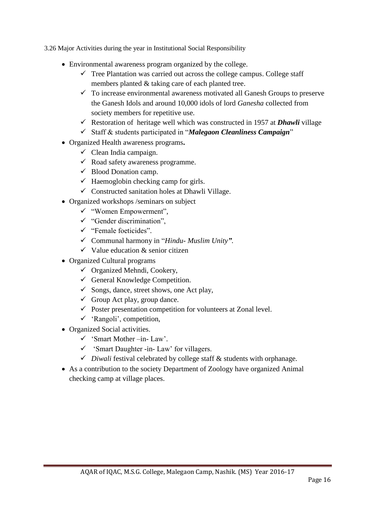3.26 Major Activities during the year in Institutional Social Responsibility

- Environmental awareness program organized by the college.
	- $\checkmark$  Tree Plantation was carried out across the college campus. College staff members planted & taking care of each planted tree.
	- $\checkmark$  To increase environmental awareness motivated all Ganesh Groups to preserve the Ganesh Idols and around 10,000 idols of lord *Ganesha* collected from society members for repetitive use.
	- Restoration of heritage well which was constructed in 1957 at **Dhawli** village
	- Staff & students participated in "*Malegaon Cleanliness Campaign*"
- Organized Health awareness programs**.** 
	- $\checkmark$  Clean India campaign.
	- $\checkmark$  Road safety awareness programme.
	- $\checkmark$  Blood Donation camp.
	- $\checkmark$  Haemoglobin checking camp for girls.
	- $\checkmark$  Constructed sanitation holes at Dhawli Village.
- Organized workshops /seminars on subject
	- "Women Empowerment",
	- $\checkmark$  "Gender discrimination",
	- "Female foeticides".
	- Communal harmony in "*Hindu- Muslim Unity"*.
	- $\checkmark$  Value education & senior citizen
- Organized Cultural programs
	- $\checkmark$  Organized Mehndi, Cookery,
	- $\checkmark$  General Knowledge Competition.
	- $\checkmark$  Songs, dance, street shows, one Act play,
	- $\checkmark$  Group Act play, group dance.
	- $\checkmark$  Poster presentation competition for volunteers at Zonal level.
	- $\checkmark$  'Rangoli', competition,
- Organized Social activities.
	- $\checkmark$  'Smart Mother –in-Law'.
	- $\checkmark$  'Smart Daughter -in- Law' for villagers.
	- $\checkmark$  *Diwali* festival celebrated by college staff  $\&$  students with orphanage.
- As a contribution to the society Department of Zoology have organized Animal checking camp at village places.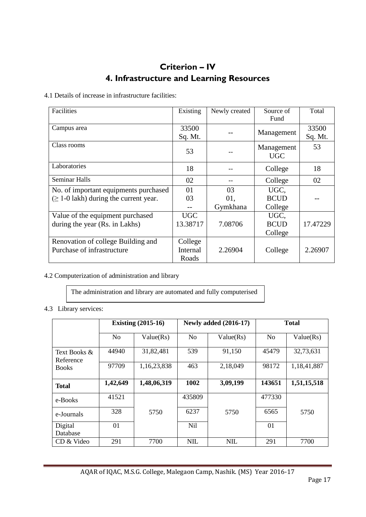## **Criterion – IV 4. Infrastructure and Learning Resources**

4.1 Details of increase in infrastructure facilities:

| Facilities                                  | Existing | Newly created | Source of   | Total    |
|---------------------------------------------|----------|---------------|-------------|----------|
|                                             |          |               | Fund        |          |
| Campus area                                 | 33500    |               |             | 33500    |
|                                             | Sq. Mt.  |               | Management  | Sq. Mt.  |
| Class rooms                                 |          |               | Management  | 53       |
|                                             | 53       |               | <b>UGC</b>  |          |
| Laboratories                                | 18       |               | College     | 18       |
| <b>Seminar Halls</b>                        | 02       |               | College     | 02       |
| No. of important equipments purchased       | 01       | 03            | UGC,        |          |
| $(\geq 1$ -0 lakh) during the current year. | 03       | 01.           | <b>BCUD</b> |          |
|                                             |          | Gymkhana      | College     |          |
| Value of the equipment purchased            | UGC.     |               | UGC,        |          |
| during the year (Rs. in Lakhs)              | 13.38717 | 7.08706       | <b>BCUD</b> | 17.47229 |
|                                             |          |               | College     |          |
| Renovation of college Building and          | College  |               |             |          |
| Purchase of infrastructure                  | Internal | 2.26904       | College     | 2.26907  |
|                                             | Roads    |               |             |          |

#### 4.2 Computerization of administration and library

The administration and library are automated and fully computerised

#### 4.3 Library services:

|                           |                | <b>Existing (2015-16)</b> |                 | <b>Newly added (2016-17)</b> | <b>Total</b>   |             |  |
|---------------------------|----------------|---------------------------|-----------------|------------------------------|----------------|-------------|--|
|                           | N <sub>o</sub> | Value(Rs)                 | <b>No</b>       | Value(Rs)                    | N <sub>o</sub> | Value(Rs)   |  |
| Text Books &<br>Reference | 44940          | 31,82,481                 | 539             | 91,150                       | 45479          | 32,73,631   |  |
| <b>Books</b>              | 97709          | 1,16,23,838               | 463             | 2,18,049                     | 98172          | 1,18,41,887 |  |
| <b>Total</b>              | 1,42,649       | 1,48,06,319               | 1002            | 3,09,199                     | 143651         | 1,51,15,518 |  |
| e-Books                   | 41521          |                           | 435809          |                              | 477330         |             |  |
| e-Journals                | 328            | 5750                      | 6237            | 5750                         | 6565           | 5750        |  |
| Digital<br>Database       | 01             |                           | N <sub>il</sub> |                              | 01             |             |  |
| CD & Video                | 291            | 7700                      | <b>NIL</b>      | <b>NIL</b>                   | 291            | 7700        |  |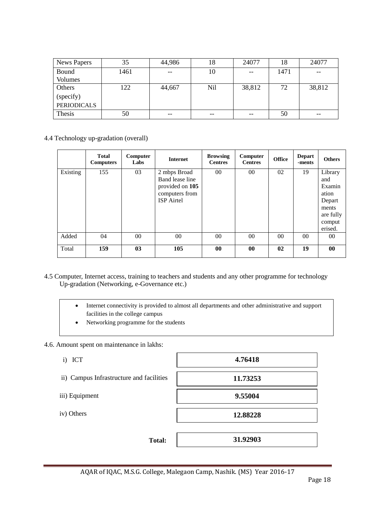| News Papers        | 35   | 44,986                                              | 18    | 24077             | 18   | 24077  |
|--------------------|------|-----------------------------------------------------|-------|-------------------|------|--------|
| Bound              | 1461 | $\hspace{0.05cm} -\hspace{0.05cm} -\hspace{0.05cm}$ | 10    | $\qquad \qquad -$ | 1471 | $- -$  |
| Volumes            |      |                                                     |       |                   |      |        |
| Others             | 122  | 44,667                                              | Nil   | 38,812            | 72   | 38,812 |
| (specify)          |      |                                                     |       |                   |      |        |
| <b>PERIODICALS</b> |      |                                                     |       |                   |      |        |
| Thesis             | 50   | $- -$                                               | $- -$ | $- -$             | 50   | --     |

4.4 Technology up-gradation (overall)

|          | <b>Total</b><br><b>Computers</b> | Computer<br>Labs | <b>Internet</b>                                                                           | <b>Browsing</b><br><b>Centres</b> | Computer<br><b>Centres</b> | <b>Office</b> | <b>Depart</b><br>-ments | <b>Others</b>                                                                          |
|----------|----------------------------------|------------------|-------------------------------------------------------------------------------------------|-----------------------------------|----------------------------|---------------|-------------------------|----------------------------------------------------------------------------------------|
| Existing | 155                              | 03               | 2 mbps Broad<br>Band lease line<br>provided on 105<br>computers from<br><b>ISP</b> Airtel | $00\,$                            | $00\,$                     | 02            | 19                      | Library<br>and<br>Examin<br>ation<br>Depart<br>ments<br>are fully<br>comput<br>erised. |
| Added    | 04                               | $00\,$           | $00\,$                                                                                    | $00\,$                            | $00\,$                     | $00\,$        | 00                      | 00                                                                                     |
| Total    | 159                              | 03               | 105                                                                                       | $\bf{00}$                         | 00                         | 02            | 19                      | 00                                                                                     |

- 4.5 Computer, Internet access, training to teachers and students and any other programme for technology Up-gradation (Networking, e-Governance etc.)
	- Internet connectivity is provided to almost all departments and other administrative and support facilities in the college campus
	- Networking programme for the students

4.6. Amount spent on maintenance in lakhs:

- i) ICT
- ii) Campus Infrastructure and facilities
- iii) Equipment
- iv) Others

**4.76418**

**Total:** 

**31.92903**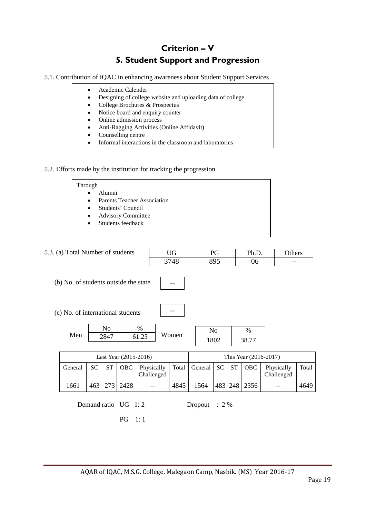## **Criterion – V 5. Student Support and Progression**

5.1. Contribution of IQAC in enhancing awareness about Student Support Services

- Academic Calender Designing of college website and uploading data of college College Brochures & Prospectus Notice board and enquiry counter • Online admission process
	- Anti-Ragging Activities (Online Affidavit)
	- Counselling centre
	- Informal interactions in the classroom and laboratories

#### 5.2. Efforts made by the institution for tracking the progression

| Through                                         |  |
|-------------------------------------------------|--|
| Alumni<br>$\bullet$                             |  |
| <b>Parents Teacher Association</b><br>$\bullet$ |  |
| Students' Council<br>$\bullet$                  |  |
| <b>Advisory Committee</b><br>$\bullet$          |  |
| Students feedback<br>$\bullet$                  |  |
|                                                 |  |

| 5.3. (a) Total Number of students     |           |                        |                                      |                          | <b>UG</b> |         | PG                     |           | Ph.D.                 |                          | Others |
|---------------------------------------|-----------|------------------------|--------------------------------------|--------------------------|-----------|---------|------------------------|-----------|-----------------------|--------------------------|--------|
|                                       |           |                        |                                      |                          | 3748      |         | 895                    |           | 06                    |                          | --     |
| (b) No. of students outside the state |           |                        |                                      |                          |           |         |                        |           |                       |                          |        |
| (c) No. of international students     |           |                        |                                      |                          |           |         |                        |           |                       |                          |        |
| Men                                   |           | N <sub>o</sub><br>2847 |                                      | %<br>61.23               | Women     |         | N <sub>0</sub><br>1802 |           | %<br>38.77            |                          |        |
|                                       |           |                        | Last Year (2015-2016)                |                          |           |         |                        |           | This Year (2016-2017) |                          |        |
| General                               | <b>SC</b> | <b>ST</b>              | OBC                                  | Physically<br>Challenged | Total     | General | <b>SC</b>              | <b>ST</b> | OBC                   | Physically<br>Challenged | Total  |
| 1661                                  | 463       | 273                    | 2428                                 |                          | 4845      | 1564    | 483                    | 248       | 2356                  |                          | 4649   |
|                                       |           |                        | Demand ratio UG 1:2<br><b>PG</b> 1:1 |                          |           | Dropout | $: 2\%$                |           |                       |                          |        |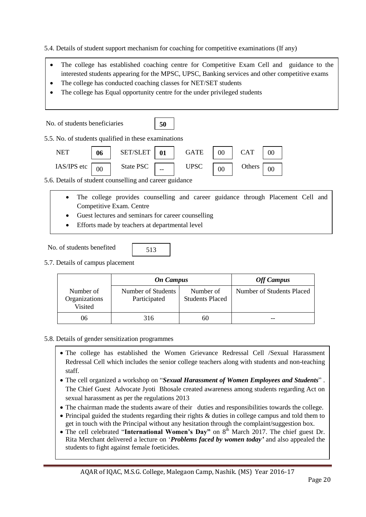5.4. Details of student support mechanism for coaching for competitive examinations (If any)

- The college has established coaching centre for Competitive Exam Cell and guidance to the interested students appearing for the MPSC, UPSC, Banking services and other competitive exams
- The college has conducted coaching classes for NET/SET students
- The college has Equal opportunity centre for the under privileged students

| No. of students beneficiaries                           |        |                                                                                   | 50 |             |        |            |    |  |
|---------------------------------------------------------|--------|-----------------------------------------------------------------------------------|----|-------------|--------|------------|----|--|
| 5.5. No. of students qualified in these examinations    |        |                                                                                   |    |             |        |            |    |  |
| <b>NET</b>                                              | 06     | SET/SLET                                                                          | 01 | GATE        | $00\,$ | <b>CAT</b> | 00 |  |
| $IAS/IPS$ etc                                           | $00\,$ | State PSC $\boxed{\phantom{1}}$                                                   |    | <b>UPSC</b> | $00\,$ | Others     | 00 |  |
| 5.6. Details of student counselling and career guidance |        |                                                                                   |    |             |        |            |    |  |
|                                                         |        | The college nucleirs compositing and concern outdoned through Discourant Call and |    |             |        |            |    |  |

- The college provides counselling and career guidance through Placement Cell and Competitive Exam. Centre
- Guest lectures and seminars for career counselling
- Efforts made by teachers at departmental level
- No. of students benefited
- 513
- 5.7. Details of campus placement

|                                       | <b>On Campus</b>                   | <b>Off Campus</b>                   |                           |
|---------------------------------------|------------------------------------|-------------------------------------|---------------------------|
| Number of<br>Organizations<br>Visited | Number of Students<br>Participated | Number of<br><b>Students Placed</b> | Number of Students Placed |
| 06                                    | 316                                | 60                                  | --                        |

#### 5.8. Details of gender sensitization programmes

- The college has established the Women Grievance Redressal Cell /Sexual Harassment Redressal Cell which includes the senior college teachers along with students and non-teaching staff.
- The cell organized a workshop on "*Sexual Harassment of Women Employees and Students*" . The Chief Guest Advocate Jyoti Bhosale created awareness among students regarding Act on sexual harassment as per the regulations 2013
- The chairman made the students aware of their duties and responsibilities towards the college.
- Principal guided the students regarding their rights & duties in college campus and told them to get in touch with the Principal without any hesitation through the complaint/suggestion box.
- The cell celebrated "**International Women's Day**" on 8<sup>th</sup> March 2017. The chief guest Dr. Rita Merchant delivered a lecture on '*Problems faced by women today'* and also appealed the students to fight against female foeticides.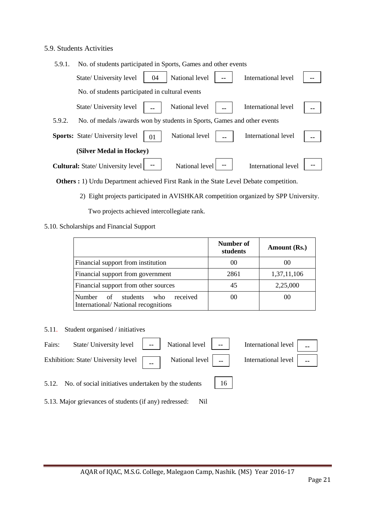#### 5.9. Students Activities

| 5.9.1. | No. of students participated in Sports, Games and other events          |    |                |                     |    |
|--------|-------------------------------------------------------------------------|----|----------------|---------------------|----|
|        | State/ University level                                                 | 04 | National level | International level |    |
|        | No. of students participated in cultural events                         |    |                |                     |    |
|        | State/ University level                                                 |    | National level | International level |    |
| 5.9.2. | No. of medals /awards won by students in Sports, Games and other events |    |                |                     |    |
|        | <b>Sports:</b> State/ University level                                  | 01 | National level | International level | -- |
|        | (Silver Medal in Hockey)                                                |    |                |                     |    |
|        | <b>Cultural:</b> State/ University level                                |    | National level | International level |    |

 **Others :** 1) Urdu Department achieved First Rank in the State Level Debate competition.

2) Eight projects participated in AVISHKAR competition organized by SPP University.

Two projects achieved intercollegiate rank.

#### 5.10. Scholarships and Financial Support

|                                                                                 | Number of<br>students | Amount (Rs.) |
|---------------------------------------------------------------------------------|-----------------------|--------------|
| Financial support from institution                                              | 00                    | 00           |
| Financial support from government                                               | 2861                  | 1,37,11,106  |
| Financial support from other sources                                            | 45                    | 2,25,000     |
| Number of<br>received<br>students<br>who<br>International/National recognitions | 00                    | 00           |

5.11. Student organised / initiatives



5.13. Major grievances of students (if any) redressed: Nil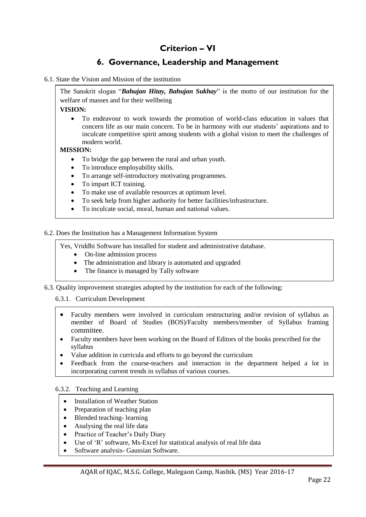## **Criterion – VI**

## **6. Governance, Leadership and Management**

6.1. State the Vision and Mission of the institution

The Sanskrit slogan "*Bahujan Hitay, Bahujan Sukhay*" is the motto of our institution for the welfare of masses and for their wellbeing

**VISION:**

 To endeavour to work towards the promotion of world-class education in values that concern life as our main concern. To be in harmony with our students' aspirations and to inculcate competitive spirit among students with a global vision to meet the challenges of modern world.

#### **MISSION:**

- To bridge the gap between the rural and urban youth.
- To introduce employability skills.
- To arrange self-introductory motivating programmes.
- To impart ICT training.
- To make use of available resources at optimum level.
- To seek help from higher authority for better facilities/infrastructure.
- To inculcate social, moral, human and national values.

6.2. Does the Institution has a Management Information System

Yes, Vriddhi Software has installed for student and administrative database.

- On-line admission process
- The administration and library is automated and upgraded
- The finance is managed by Tally software
- 6.3. Quality improvement strategies adopted by the institution for each of the following:

6.3.1. Curriculum Development

- Faculty members were involved in curriculum restructuring and/or revision of syllabus as member of Board of Studies (BOS)/Faculty members/member of Syllabus framing committee.
- Faculty members have been working on the Board of Editors of the books prescribed for the syllabus
- Value addition in curricula and efforts to go beyond the curriculum
- Feedback from the course-teachers and interaction in the department helped a lot in incorporating current trends in syllabus of various courses.

6.3.2. Teaching and Learning

- Installation of Weather Station
- Preparation of teaching plan
- Blended teaching-learning
- Analysing the real life data
- Practice of Teacher's Daily Diary
- Use of 'R' software, Ms-Excel for statistical analysis of real life data
- Software analysis- Gaussian Software.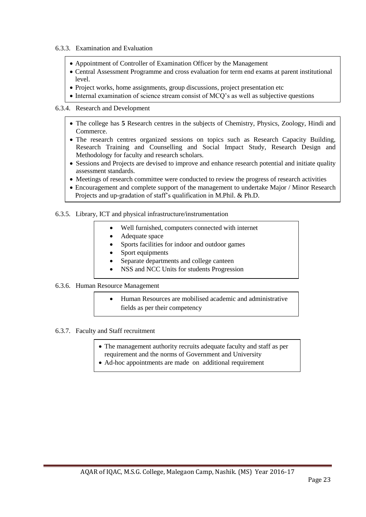- 6.3.3. Examination and Evaluation
	- Appointment of Controller of Examination Officer by the Management
	- Central Assessment Programme and cross evaluation for term end exams at parent institutional level.
	- Project works, home assignments, group discussions, project presentation etc
	- Internal examination of science stream consist of MCQ's as well as subjective questions

#### 6.3.4. Research and Development

- The college has **5** Research centres in the subjects of Chemistry, Physics, Zoology, Hindi and Commerce.
- The research centres organized sessions on topics such as Research Capacity Building, Research Training and Counselling and Social Impact Study, Research Design and Methodology for faculty and research scholars.
- Sessions and Projects are devised to improve and enhance research potential and initiate quality assessment standards.
- Meetings of research committee were conducted to review the progress of research activities
- Encouragement and complete support of the management to undertake Major / Minor Research Projects and up-gradation of staff's qualification in M.Phil. & Ph.D.
- 6.3.5. Library, ICT and physical infrastructure/instrumentation
	- Well furnished, computers connected with internet
	- Adequate space
	- Sports facilities for indoor and outdoor games
	- Sport equipments
	- Separate departments and college canteen
	- NSS and NCC Units for students Progression

#### 6.3.6. Human Resource Management

- Human Resources are mobilised academic and administrative fields as per their competency
- 6.3.7. Faculty and Staff recruitment
	- The management authority recruits adequate faculty and staff as per requirement and the norms of Government and University
	- Ad-hoc appointments are made on additional requirement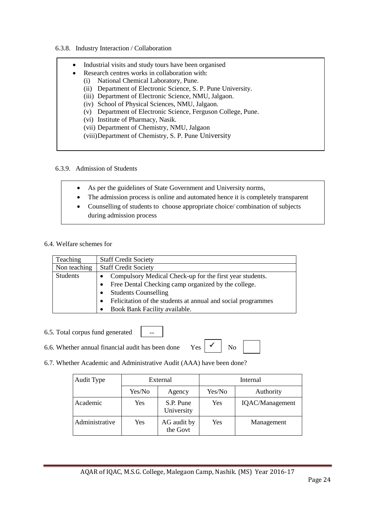#### 6.3.8. Industry Interaction / Collaboration

| $\bullet$ | Industrial visits and study tours have been organised     |
|-----------|-----------------------------------------------------------|
| ٠         | Research centres works in collaboration with:             |
| (i)       | National Chemical Laboratory, Pune.                       |
| (ii)      | Department of Electronic Science, S. P. Pune University.  |
|           | (iii) Department of Electronic Science, NMU, Jalgaon.     |
|           | (iv) School of Physical Sciences, NMU, Jalgaon.           |
| (v)       | Department of Electronic Science, Ferguson College, Pune. |
|           | (vi) Institute of Pharmacy, Nasik.                        |
|           | (vii) Department of Chemistry, NMU, Jalgaon               |
|           | (viii) Department of Chemistry, S. P. Pune University     |

#### 6.3.9. Admission of Students

- As per the guidelines of State Government and University norms,
- The admission process is online and automated hence it is completely transparent
- Counselling of students to choose appropriate choice/ combination of subjects during admission process

#### 6.4. Welfare schemes for

| <b>Teaching</b> | <b>Staff Credit Society</b>                                           |  |  |
|-----------------|-----------------------------------------------------------------------|--|--|
| Non teaching    | <b>Staff Credit Society</b>                                           |  |  |
| <b>Students</b> | Compulsory Medical Check-up for the first year students.<br>$\bullet$ |  |  |
|                 | Free Dental Checking camp organized by the college.                   |  |  |
|                 | <b>Students Counselling</b>                                           |  |  |
|                 | Felicitation of the students at annual and social programmes          |  |  |
|                 | Book Bank Facility available.                                         |  |  |

6.5. Total corpus fund generated

6.6. Whether annual financial audit has been done Yes  $\begin{array}{c|c} \nwarrow \\ \hline \end{array}$  No

 $\checkmark$ 

6.7. Whether Academic and Administrative Audit (AAA) have been done?

--

| Audit Type     | External |                         | Internal |                 |
|----------------|----------|-------------------------|----------|-----------------|
|                | Yes/No   | Agency                  | Yes/No   | Authority       |
| Academic       | Yes      | S.P. Pune<br>University | Yes      | IQAC/Management |
| Administrative | Yes      | AG audit by<br>the Govt | Yes      | Management      |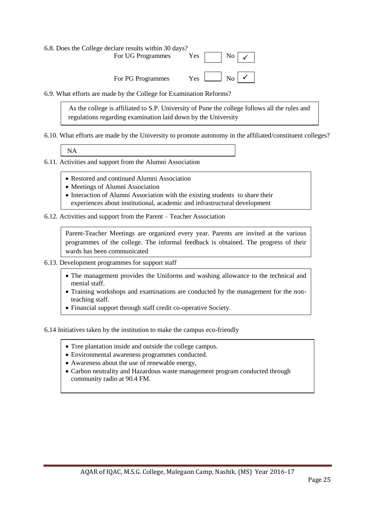6.8. Does the College declare results within 30 days? For UG Programmes Yes No For PG Programmes  $\checkmark$  $Yes$   $\boxed{\phantom{1}}$  No  $\boxed{\checkmark}$ 

6.9. What efforts are made by the College for Examination Reforms?

 As the college is affiliated to S.P. University of Pune the college follows all the rules and regulations regarding examination laid down by the University

6.10. What efforts are made by the University to promote autonomy in the affiliated/constituent colleges?

NA

6.11. Activities and support from the Alumni Association

- Restored and continued Alumni Association
- Meetings of Alumni Association
- Interaction of Alumni Association with the existing students to share their experiences about institutional, academic and infrastructural development

6.12. Activities and support from the Parent – Teacher Association

Parent-Teacher Meetings are organized every year. Parents are invited at the various programmes of the college. The informal feedback is obtained. The progress of their wards has been communicated

- 6.13. Development programmes for support staff
	- The management provides the Uniforms and washing allowance to the technical and menial staff.
	- Training workshops and examinations are conducted by the management for the nonteaching staff.
	- Financial support through staff credit co-operative Society.

6.14 Initiatives taken by the institution to make the campus eco-friendly

- Tree plantation inside and outside the college campus.
- $\bullet$  Environmental awareness programmes conducted.
- Awareness about the use of renewable energy,
- Awareness about the use of renewable energy,<br>• Carbon neutrality and Hazardous waste management program conducted through community radio at 90.4 FM.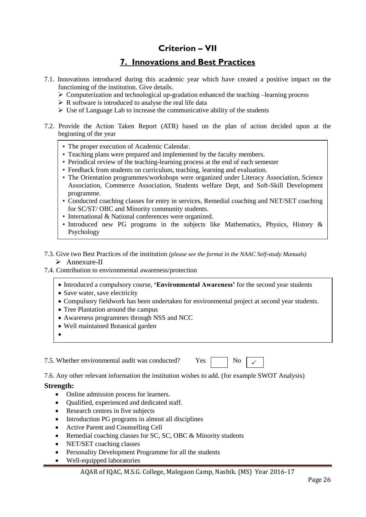### **Criterion – VII**

### **7. Innovations and Best Practices**

- 7.1. Innovations introduced during this academic year which have created a positive impact on the functioning of the institution. Give details.
	- $\triangleright$  Computerization and technological up-gradation enhanced the teaching –learning process
	- $\triangleright$  R software is introduced to analyse the real life data
	- $\triangleright$  Use of Language Lab to increase the communicative ability of the students
- 7.2. Provide the Action Taken Report (ATR) based on the plan of action decided upon at the beginning of the year
	- The proper execution of Academic Calendar.
	- Teaching plans were prepared and implemented by the faculty members.
	- Periodical review of the teaching-learning process at the end of each semester
	- Feedback from students on curriculum, teaching, learning and evaluation.
	- The Orientation programmes/workshops were organized under Literacy Association, Science Association, Commerce Association, Students welfare Dept, and Soft-Skill Development programme.
	- Conducted coaching classes for entry in services, Remedial coaching and NET/SET coaching for SC/ST/ OBC and Minority community students.
	- International & National conferences were organized.
	- Introduced new PG programs in the subjects like Mathematics, Physics, History & Psychology
- 7.3. Give two Best Practices of the institution *(please see the format in the NAAC Self-study Manuals)* > Annexure-II
- 7.4. Contribution to environmental awareness/protection
	- Introduced a compulsory course, **'Environmental Awareness'** for the second year students
	- Save water, save electricity
	- Compulsory fieldwork has been undertaken for environmental project at second year students.
	- Tree Plantation around the campus
	- Awareness programmes through NSS and NCC
	- Well maintained Botanical garden
	- $\bullet$

7.5. Whether environmental audit was conducted?  $Y_{\text{es}}$   $\Box$  No

 $\checkmark$ 

7.6. Any other relevant information the institution wishes to add. (for example SWOT Analysis)

#### **Strength:**

- Online admission process for learners.
- Qualified, experienced and dedicated staff.
- Research centres in five subjects
- Introduction PG programs in almost all disciplines
- Active Parent and Counselling Cell
- Remedial coaching classes for SC, SC, OBC & Minority students
- NET/SET coaching classes
- Personality Development Programme for all the students
- Well-equipped laboratories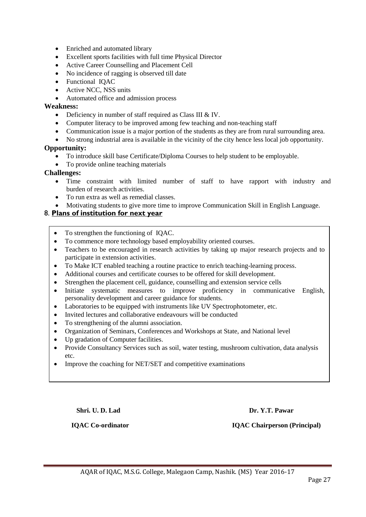- Enriched and automated library
- Excellent sports facilities with full time Physical Director
- Active Career Counselling and Placement Cell
- No incidence of ragging is observed till date
- Functional IQAC
- Active NCC, NSS units
- Automated office and admission process

#### **Weakness:**

- Deficiency in number of staff required as Class III & IV.
- Computer literacy to be improved among few teaching and non-teaching staff
- Communication issue is a major portion of the students as they are from rural surrounding area.
- No strong industrial area is available in the vicinity of the city hence less local job opportunity.

#### **Opportunity:**

- To introduce skill base Certificate/Diploma Courses to help student to be employable.
- To provide online teaching materials

#### **Challenges:**

- Time constraint with limited number of staff to have rapport with industry and burden of research activities.
- To run extra as well as remedial classes.
- Motivating students to give more time to improve Communication Skill in English Language.

#### 8. **Plans of institution for next year**

- To strengthen the functioning of IQAC.
- To commence more technology based employability oriented courses.
- Teachers to be encouraged in research activities by taking up major research projects and to participate in extension activities.
- To Make ICT enabled teaching a routine practice to enrich teaching-learning process.
- Additional courses and certificate courses to be offered for skill development.
- Strengthen the placement cell, guidance, counselling and extension service cells
- Initiate systematic measures to improve proficiency in communicative English, personality development and career guidance for students.
- Laboratories to be equipped with instruments like UV Spectrophotometer, etc.
- Invited lectures and collaborative endeavours will be conducted
- To strengthening of the alumni association.
- Organization of Seminars, Conferences and Workshops at State, and National level
- Up gradation of Computer facilities.
- Provide Consultancy Services such as soil, water testing, mushroom cultivation, data analysis etc.
- Improve the coaching for NET/SET and competitive examinations

**Shri. U. D. Lad** Dr. Y.T. Pawar **Dr. Y.T. Pawar** 

 **IQAC Co-ordinator IQAC Chairperson (Principal)**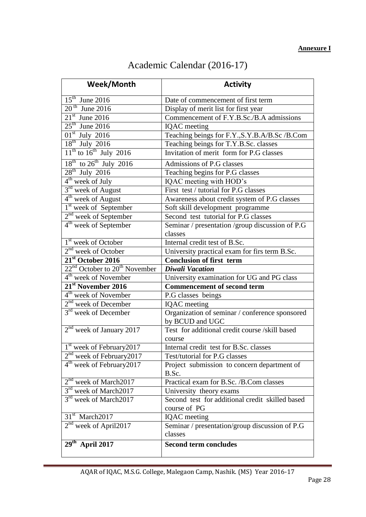## Academic Calendar (2016-17)

| Week/Month                                            | <b>Activity</b>                                                   |  |  |
|-------------------------------------------------------|-------------------------------------------------------------------|--|--|
| $15th$ June 2016                                      | Date of commencement of first term                                |  |  |
| $20th$ June 2016                                      | Display of merit list for first year                              |  |  |
| $21st$ June 2016                                      | Commencement of F.Y.B.Sc./B.A admissions                          |  |  |
| $25th$ June 2016                                      | <b>IQAC</b> meeting                                               |  |  |
| $01st$ July 2016                                      | Teaching beings for F.Y., S.Y.B.A/B.Sc /B.Com                     |  |  |
| $18th$ July 2016                                      | Teaching beings for T.Y.B.Sc. classes                             |  |  |
| $11th$ to $16th$ July 2016                            | Invitation of merit form for P.G classes                          |  |  |
| $18^{th}$ to $26^{th}$ July 2016                      | Admissions of P.G classes                                         |  |  |
| $28th$ July 2016                                      | Teaching begins for P.G classes                                   |  |  |
| 4 <sup>th</sup> week of July                          | IQAC meeting with HOD's                                           |  |  |
| 3 <sup>rd</sup> week of August                        | First test / tutorial for P.G classes                             |  |  |
| $4th$ week of August                                  | Awareness about credit system of P.G classes                      |  |  |
| <sup>1st</sup> week of September                      | Soft skill development programme                                  |  |  |
| $2nd$ week of September                               | Second test tutorial for P.G classes                              |  |  |
| $4th$ week of September                               | Seminar / presentation / group discussion of P.G                  |  |  |
|                                                       | classes                                                           |  |  |
| 1 <sup>st</sup> week of October                       | Internal credit test of B.Sc.                                     |  |  |
| $2nd$ week of October                                 | University practical exam for firs term B.Sc.                     |  |  |
| $21st$ October 2016                                   | <b>Conclusion of first term</b>                                   |  |  |
| 22 <sup>nd</sup> October to 20 <sup>th</sup> November | <b>Diwali Vacation</b>                                            |  |  |
| $4th$ week of November                                | University examination for UG and PG class                        |  |  |
| 21 <sup>st</sup> November 2016                        | <b>Commencement of second term</b>                                |  |  |
| 4 <sup>th</sup> week of November                      | P.G classes beings                                                |  |  |
| $2nd$ week of December                                | <b>IQAC</b> meeting                                               |  |  |
| $3rd$ week of December                                | Organization of seminar / conference sponsored<br>by BCUD and UGC |  |  |
| $2nd$ week of January 2017                            | Test for additional credit course /skill based                    |  |  |
|                                                       | course                                                            |  |  |
| 1 <sup>st</sup> week of February 2017                 | Internal credit test for B.Sc. classes                            |  |  |
| 2 <sup>nd</sup> week of February 2017                 | Test/tutorial for P.G classes                                     |  |  |
| 4 <sup>th</sup> week of February 2017                 | Project submission to concern department of<br>B.Sc.              |  |  |
| $2nd$ week of March2017                               | Practical exam for B.Sc. /B.Com classes                           |  |  |
| $3^{\text{rd}}$<br>week of March2017                  | University theory exams                                           |  |  |
| 3 <sup>rd</sup> week of March2017                     | Second test for additional credit skilled based<br>course of PG   |  |  |
| 31 <sup>st</sup> March2017                            | <b>IQAC</b> meeting                                               |  |  |
| $2nd$ week of April2017                               | Seminar / presentation/group discussion of P.G<br>classes         |  |  |
| $29th$ April 2017                                     | <b>Second term concludes</b>                                      |  |  |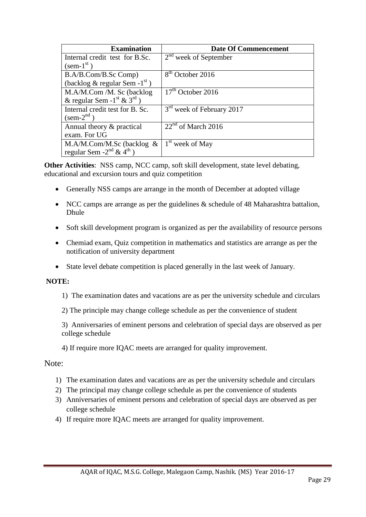| <b>Examination</b>                                  | <b>Date Of Commencement</b>           |
|-----------------------------------------------------|---------------------------------------|
| Internal credit test for B.Sc.                      | $2nd$ week of September               |
| $(\text{sem-1}^{\text{st}})$                        |                                       |
| B.A/B.Com/B.Sc Comp)                                | 8 <sup>th</sup> October 2016          |
| (backlog & regular Sem -1 <sup>st</sup> )           |                                       |
| M.A/M.Com /M. Sc (backlog                           | $17th$ October 2016                   |
| & regular Sem - $1^{\text{st}}$ & $3^{\text{rd}}$ ) |                                       |
| Internal credit test for B. Sc.                     | 3 <sup>rd</sup> week of February 2017 |
| $(\text{sem-2}^{\text{nd}})$                        |                                       |
| Annual theory & practical                           | $22nd$ of March 2016                  |
| exam. For UG                                        |                                       |
| M.A/M.Com/M.Sc (backlog $\&$                        | 1 <sup>st</sup> week of May           |
| regular Sem $-2^{nd}$ & $4^{th}$ )                  |                                       |

**Other Activities**: NSS camp, NCC camp, soft skill development, state level debating, educational and excursion tours and quiz competition

- Generally NSS camps are arrange in the month of December at adopted village
- NCC camps are arrange as per the guidelines & schedule of 48 Maharashtra battalion, Dhule
- Soft skill development program is organized as per the availability of resource persons
- Chemiad exam, Quiz competition in mathematics and statistics are arrange as per the notification of university department
- State level debate competition is placed generally in the last week of January.

#### **NOTE:**

- 1) The examination dates and vacations are as per the university schedule and circulars
- 2) The principle may change college schedule as per the convenience of student

3) Anniversaries of eminent persons and celebration of special days are observed as per college schedule

4) If require more IQAC meets are arranged for quality improvement.

#### Note:

- 1) The examination dates and vacations are as per the university schedule and circulars
- 2) The principal may change college schedule as per the convenience of students
- 3) Anniversaries of eminent persons and celebration of special days are observed as per college schedule
- 4) If require more IQAC meets are arranged for quality improvement.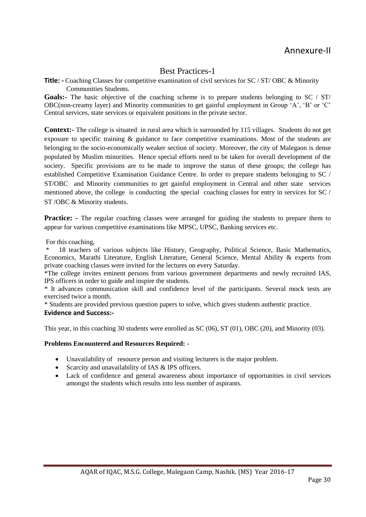### Best Practices-1

**Title: -** Coaching Classes for competitive examination of civil services for SC / ST/ OBC & Minority Communities Students.

Goals:- The basic objective of the coaching scheme is to prepare students belonging to SC / ST/ OBC(non-creamy layer) and Minority communities to get gainful employment in Group 'A', 'B' or 'C' Central services, state services or equivalent positions in the private sector.

**Context:-** The college is situated in rural area which is surrounded by 115 villages. Students do not get exposure to specific training & guidance to face competitive examinations. Most of the students are belonging to the socio-economically weaker section of society. Moreover, the city of Malegaon is dense populated by Muslim minorities. Hence special efforts need to be taken for overall development of the society. Specific provisions are to be made to improve the status of these groups; the college has established Competitive Examination Guidance Centre. In order to prepare students belonging to SC / ST/OBC and Minority communities to get gainful employment in Central and other state services mentioned above, the college is conducting the special coaching classes for entry in services for SC / ST /OBC & Minority students.

**Practice:** - The regular coaching classes were arranged for guiding the students to prepare them to appear for various competitive examinations like MPSC, UPSC, Banking services etc.

For this coaching,

18 teachers of various subjects like History, Geography, Political Science, Basic Mathematics, Economics, Marathi Literature, English Literature, General Science, Mental Ability & experts from private coaching classes were invited for the lectures on every Saturday.

\*The college invites eminent persons from various government departments and newly recruited IAS, IPS officers in order to guide and inspire the students.

\* It advances communication skill and confidence level of the participants. Several mock tests are exercised twice a month.

\* Students are provided previous question papers to solve, which gives students authentic practice. **Evidence and Success:-**

This year, in this coaching 30 students were enrolled as SC (06), ST (01), OBC (20), and Minority (03).

**Problems Encountered and Resources Required: -**

- Unavailability of resource person and visiting lecturers is the major problem.
- Scarcity and unavailability of IAS & IPS officers.
- Lack of confidence and general awareness about importance of opportunities in civil services amongst the students which results into less number of aspirants.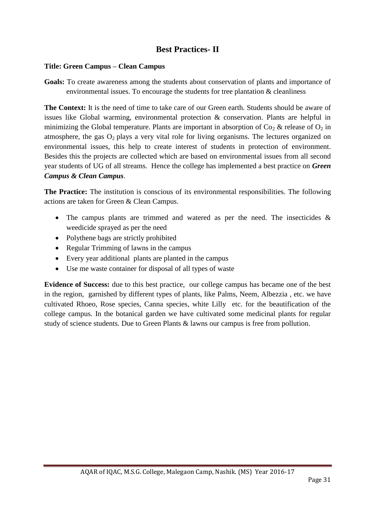### **Best Practices- II**

#### **Title: Green Campus – Clean Campus**

**Goals:** To create awareness among the students about conservation of plants and importance of environmental issues. To encourage the students for tree plantation & cleanliness

**The Context:** It is the need of time to take care of our Green earth. Students should be aware of issues like Global warming, environmental protection & conservation. Plants are helpful in minimizing the Global temperature. Plants are important in absorption of  $Co_2 \&$  release of  $O_2$  in atmosphere, the gas  $O_2$  plays a very vital role for living organisms. The lectures organized on environmental issues, this help to create interest of students in protection of environment. Besides this the projects are collected which are based on environmental issues from all second year students of UG of all streams. Hence the college has implemented a best practice on *Green Campus & Clean Campus*.

**The Practice:** The institution is conscious of its environmental responsibilities. The following actions are taken for Green & Clean Campus.

- The campus plants are trimmed and watered as per the need. The insecticides & weedicide sprayed as per the need
- Polythene bags are strictly prohibited
- Regular Trimming of lawns in the campus
- Every year additional plants are planted in the campus
- Use me waste container for disposal of all types of waste

**Evidence of Success:** due to this best practice, our college campus has became one of the best in the region, garnished by different types of plants, like Palms, Neem, Albezzia , etc. we have cultivated Rhoeo, Rose species, Canna species, white Lilly etc. for the beautification of the college campus. In the botanical garden we have cultivated some medicinal plants for regular study of science students. Due to Green Plants & lawns our campus is free from pollution.